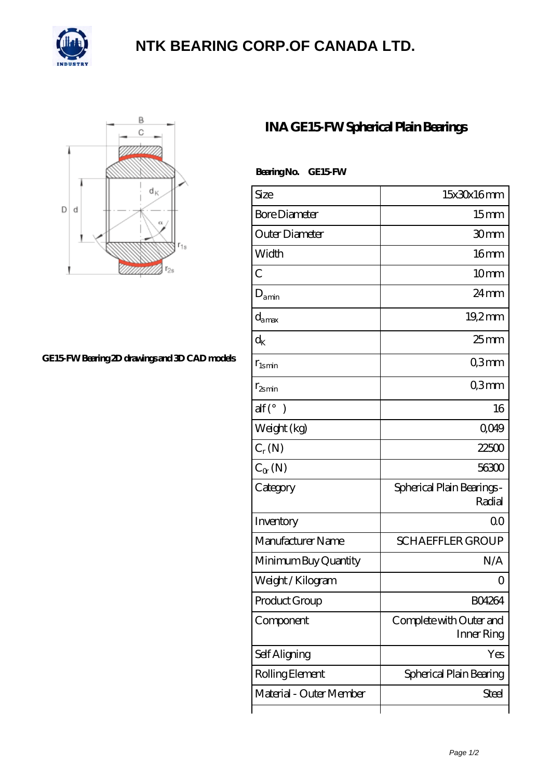

## **[NTK BEARING CORP.OF CANADA LTD.](https://m.lavozdelsureste.com)**



## **[GE15-FW Bearing 2D drawings and 3D CAD models](https://m.lavozdelsureste.com/pic-348472.html)**

## **[INA GE15-FW Spherical Plain Bearings](https://m.lavozdelsureste.com/at-348472-ina-ge15-fw-spherical-plain-bearings.html)**

| Bearing No. | GE15 FW |
|-------------|---------|
|             |         |

| Size                              | 15x30x16mm                            |
|-----------------------------------|---------------------------------------|
| <b>Bore Diameter</b>              | 15 <sub>mm</sub>                      |
| Outer Diameter                    | 30mm                                  |
| Width                             | 16 <sub>mm</sub>                      |
| C                                 | 10 <sub>mm</sub>                      |
| $D_{\text{amin}}$                 | $24 \,\mathrm{mm}$                    |
| $d_{\text{amax}}$                 | $19.2$ mm                             |
| $\rm{d}_{{\scriptscriptstyle K}}$ | $25$ mm                               |
| $r_{lsmin}$                       | Q3mm                                  |
| $r_{2smin}$                       | Q3mm                                  |
| $\text{alf}({}^{\circ})$          | 16                                    |
| Weight (kg)                       | Q049                                  |
| $C_r(N)$                          | 22500                                 |
| $C_{\alpha}(\mathbb{N})$          | 56300                                 |
| Category                          | Spherical Plain Bearings -<br>Radial  |
| Inventory                         | QO                                    |
| Manufacturer Name                 | <b>SCHAEFFLER GROUP</b>               |
| Minimum Buy Quantity              | N/A                                   |
| Weight / Kilogram                 | Ω                                     |
| Product Group                     | <b>BO4264</b>                         |
| Component                         | Complete with Outer and<br>Inner Ring |
| Self Aligning                     | Yes                                   |
| Rolling Element                   | Spherical Plain Bearing               |
| Material - Outer Member           | Steel                                 |
|                                   |                                       |